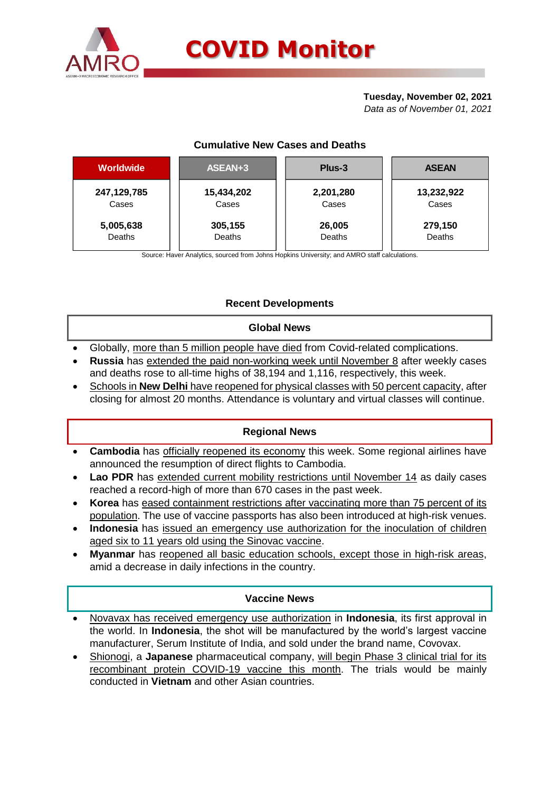

### **Tuesday, November 02, 2021**

*Data as of November 01, 2021*

# **Cumulative New Cases and Deaths**

| <b>Worldwide</b> | ASEAN+3    | Plus-3    | <b>ASEAN</b> |  |  |
|------------------|------------|-----------|--------------|--|--|
| 247,129,785      | 15,434,202 | 2,201,280 | 13,232,922   |  |  |
| Cases            | Cases      | Cases     | Cases        |  |  |
| 5,005,638        | 305,155    | 26,005    | 279,150      |  |  |
| Deaths           | Deaths     | Deaths    | Deaths       |  |  |

Source: Haver Analytics, sourced from Johns Hopkins University; and AMRO staff calculations.

# **Recent Developments**

### **Global News**

- Globally, more than 5 million people have died from Covid-related complications.
- **Russia** has extended the paid non-working week until November 8 after weekly cases and deaths rose to all-time highs of 38,194 and 1,116, respectively, this week.
- Schools in **New Delhi** have reopened for physical classes with 50 percent capacity, after closing for almost 20 months. Attendance is voluntary and virtual classes will continue.

### **Regional News**

- **Cambodia** has officially reopened its economy this week. Some regional airlines have announced the resumption of direct flights to Cambodia.
- Lao PDR has extended current mobility restrictions until November 14 as daily cases reached a record-high of more than 670 cases in the past week.
- **Korea** has eased containment restrictions after vaccinating more than 75 percent of its population. The use of vaccine passports has also been introduced at high-risk venues.
- **Indonesia** has issued an emergency use authorization for the inoculation of children aged six to 11 years old using the Sinovac vaccine.
- **Myanmar** has reopened all basic education schools, except those in high-risk areas, amid a decrease in daily infections in the country.

### **Vaccine News**

- Novavax has received emergency use authorization in **Indonesia**, its first approval in the world. In **Indonesia**, the shot will be manufactured by the world's largest vaccine manufacturer, Serum Institute of India, and sold under the brand name, Covovax.
- Shionogi, a **Japanese** pharmaceutical company, will begin Phase 3 clinical trial for its recombinant protein COVID-19 vaccine this month. The trials would be mainly conducted in **Vietnam** and other Asian countries.